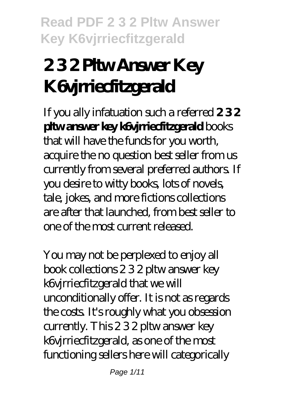# **2 3 2 Pltw Answer Key K6vjrriecfitzgerald**

If you ally infatuation such a referred **2 3 2 pltw answer key k6vjrriecfitzgerald** books that will have the funds for you worth, acquire the no question best seller from us currently from several preferred authors. If you desire to witty books, lots of novels, tale, jokes, and more fictions collections are after that launched, from best seller to one of the most current released.

You may not be perplexed to enjoy all book collections 2 3 2 pltw answer key k6vjrriecfitzgerald that we will unconditionally offer. It is not as regards the costs. It's roughly what you obsession currently. This 2 3 2 pltw answer key k6vjrriecfitzgerald, as one of the most functioning sellers here will categorically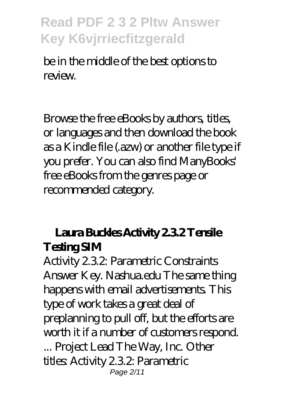be in the middle of the best options to review.

Browse the free eBooks by authors, titles, or languages and then download the book as a Kindle file (.azw) or another file type if you prefer. You can also find ManyBooks' free eBooks from the genres page or recommended category.

### Laura Buckles Activity 232 Tensile **Testing SIM**

Activity 2.3.2: Parametric Constraints Answer Key. Nashua.edu The same thing happens with email advertisements. This type of work takes a great deal of preplanning to pull off, but the efforts are worth it if a number of customers respond. ... Project Lead The Way, Inc. Other titles: Activity 2.3.2: Parametric Page 2/11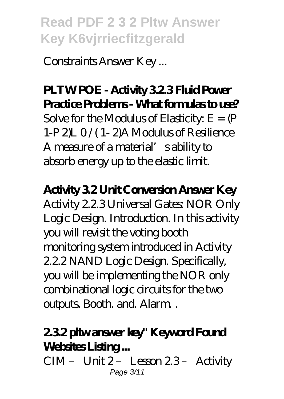Constraints Answer Key ...

### **PLTW POE - Activity 3.2.3 Fluid Power Practice Problems - What formulas to use?**

Solve for the Modulus of Elasticity:  $E = (P)$ 1-P 2)L 0 /( 1- 2)A Modulus of Resilience A measure of a material's ability to absorb energy up to the elastic limit.

#### **Activity 3.2 Unit Conversion Answer Key**

Activity 2.2.3 Universal Gates: NOR Only Logic Design. Introduction. In this activity you will revisit the voting booth monitoring system introduced in Activity 2.2.2 NAND Logic Design. Specifically, you will be implementing the NOR only combinational logic circuits for the two outputs. Booth. and. Alarm. .

### **2.3.2 pltw answer key" Keyword Found** Websites Listing...

CIM - Unit 2- Lesson 23- Activity Page 3/11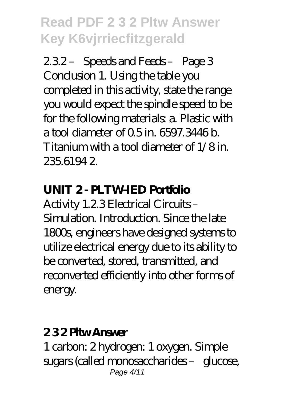2.3.2 – Speeds and Feeds – Page 3 Conclusion 1. Using the table you completed in this activity, state the range you would expect the spindle speed to be for the following materials a. Plastic with a tool diameter of 0.5 in. 6597.3446 b. Titanium with a tool diameter of 1/8 in. 235.6194 2.

#### **UNIT 2- PLTWIED Portfolio**

Activity 1.2.3 Electrical Circuits – Simulation. Introduction. Since the late 1800s, engineers have designed systems to utilize electrical energy due to its ability to be converted, stored, transmitted, and reconverted efficiently into other forms of energy.

#### **2 3 2 Pltw Answer**

1 carbon: 2 hydrogen: 1 oxygen. Simple sugars (called monosaccharides – glucose, Page 4/11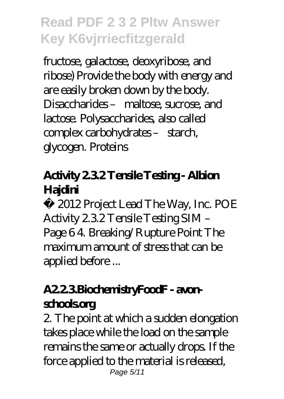fructose, galactose, deoxyribose, and ribose) Provide the body with energy and are easily broken down by the body. Disaccharides – maltose, sucrose, and lactose. Polysaccharides, also called complex carbohydrates - starch, glycogen. Proteins

### **Activity 2.3.2 Tensile Testing - Albion Hajdini**

© 2012 Project Lead The Way, Inc. POE Activity 2.3.2 Tensile Testing SIM – Page 6 4. Breaking/Rupture Point The maximum amount of stress that can be applied before ...

### **A2.2.3.BiochemistryFoodF - avonschools.org**

2. The point at which a sudden elongation takes place while the load on the sample remains the same or actually drops. If the force applied to the material is released, Page 5/11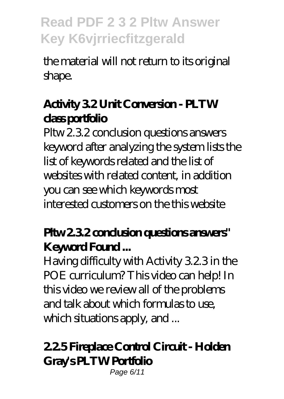the material will not return to its original shape.

### **Activity 3.2 Unit Conversion - PLTW class portfolio**

Pltw 2.3.2 conclusion questions answers keyword after analyzing the system lists the list of keywords related and the list of websites with related content, in addition you can see which keywords most interested customers on the this website

### Pltw 232 conclusion questions answers" **Keyword Found ...**

Having difficulty with Activity 3.2.3 in the POE curriculum? This video can help! In this video we review all of the problems and talk about which formulas to use, which situations apply, and ...

### **2.2.5 Fireplace Control Circuit - Holden Gray's PLTW Portfolio**

Page 6/11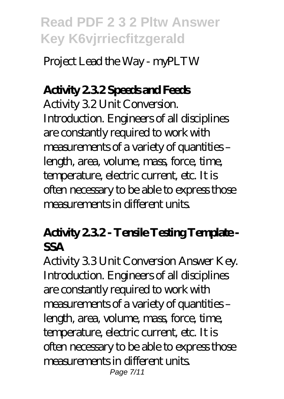Project Lead the Way - myPLTW

### **Activity 2.3.2 Speeds and Feeds**

Activity 3.2 Unit Conversion. Introduction. Engineers of all disciplines are constantly required to work with measurements of a variety of quantities – length, area, volume, mass, force, time, temperature, electric current, etc. It is often necessary to be able to express those measurements in different units.

### **Activity 2.3.2 - Tensile Testing Template - SSA**

Activity 3.3 Unit Conversion Answer Key. Introduction. Engineers of all disciplines are constantly required to work with measurements of a variety of quantities – length, area, volume, mass, force, time, temperature, electric current, etc. It is often necessary to be able to express those measurements in different units. Page 7/11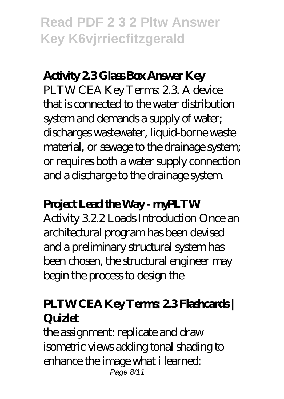### **Activity 2.3 Glass Box Answer Key**

PLTW CEA Key Terms: 2.3. A device that is connected to the water distribution system and demands a supply of water; discharges wastewater, liquid-borne waste material, or sewage to the drainage system; or requires both a water supply connection and a discharge to the drainage system.

#### **Project Lead the Way - myPLTW**

Activity 3.2.2 Loads Introduction Once an architectural program has been devised and a preliminary structural system has been chosen, the structural engineer may begin the process to design the

### **PLTW CEA Key Terms: 2.3 Flashcards | Quizlet**

the assignment: replicate and draw isometric views adding tonal shading to enhance the image what i learned: Page 8/11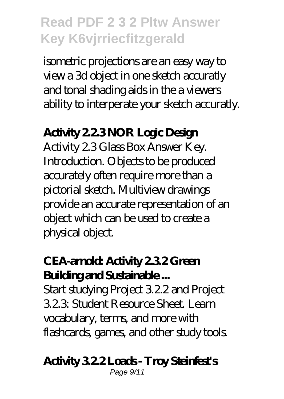isometric projections are an easy way to view a 3d object in one sketch accuratly and tonal shading aids in the a viewers ability to interperate your sketch accuratly.

#### **Activity 2.2.3 NOR Logic Design**

Activity 2.3 Glass Box Answer Key. Introduction. Objects to be produced accurately often require more than a pictorial sketch. Multiview drawings provide an accurate representation of an object which can be used to create a physical object.

### **CEA-arnold: Activity 2.3.2 Green Building and Sustainable ...**

Start studying Project 3.2.2 and Project 3.2.3: Student Resource Sheet. Learn vocabulary, terms, and more with flashcards, games, and other study tools.

### **Activity 3.2.2 Loads - Troy Steinfest's**

Page 9/11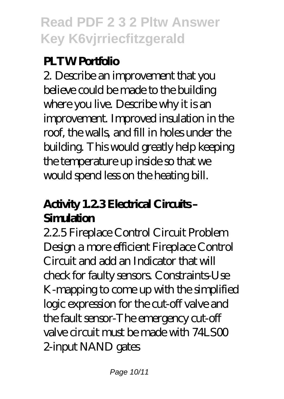### **PLTW Portfolio**

2. Describe an improvement that you believe could be made to the building where you live. Describe why it is an improvement. Improved insulation in the roof, the walls, and fill in holes under the building. This would greatly help keeping the temperature up inside so that we would spend less on the heating bill.

### **Activity 1.2.3 Electrical Circuits – Simulation**

2.2.5 Fireplace Control Circuit Problem Design a more efficient Fireplace Control Circuit and add an Indicator that will check for faulty sensors. Constraints-Use K-mapping to come up with the simplified logic expression for the cut-off valve and the fault sensor-The emergency cut-off valve circuit must be made with  $74$ LS $0$ 2-input NAND gates